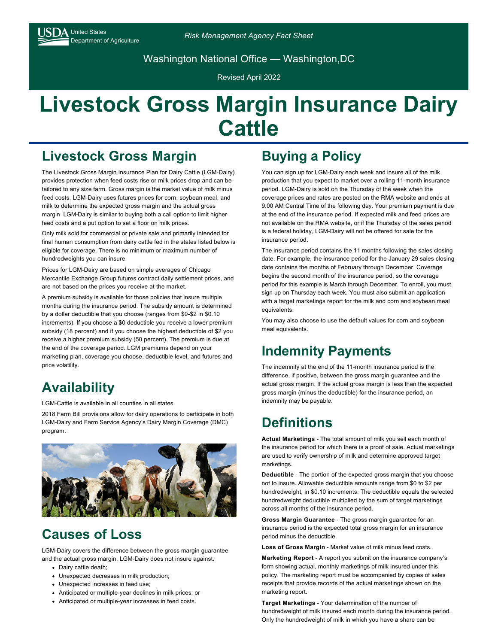Washington National Office — Washington,DC

Revised April 2022

# **Livestock Gross Margin Insurance Dairy Cattle**

#### **Livestock Gross Margin**

The Livestock Gross Margin Insurance Plan for Dairy Cattle (LGM-Dairy) provides protection when feed costs rise or milk prices drop and can be tailored to any size farm. Gross margin is the market value of milk minus feed costs. LGM-Dairy uses futures prices for corn, soybean meal, and milk to determine the expected gross margin and the actual gross margin LGM‑Dairy is similar to buying both a call option to limit higher feed costs and a put option to set a floor on milk prices.

Only milk sold for commercial or private sale and primarily intended for final human consumption from dairy cattle fed in the states listed below is eligible for coverage. There is no minimum or maximum number of hundredweights you can insure.

Prices for LGM-Dairy are based on simple averages of Chicago Mercantile Exchange Group futures contract daily settlement prices, and are not based on the prices you receive at the market.

A premium subsidy is available for those policies that insure multiple months during the insurance period. The subsidy amount is determined by a dollar deductible that you choose (ranges from \$0-\$2 in \$0.10 increments). If you choose a \$0 deductible you receive a lower premium subsidy (18 percent) and if you choose the highest deductible of \$2 you receive a higher premium subsidy (50 percent). The premium is due at the end of the coverage period. LGM premiums depend on your marketing plan, coverage you choose, deductible level, and futures and price volatility.

## **Availability**

LGM-Cattle is available in all counties in all states.

2018 Farm Bill provisions allow for dairy operations to participate in both LGM-Dairy and Farm Service Agency's Dairy Margin Coverage (DMC) program.



## **Causes of Loss**

LGM-Dairy covers the difference between the gross margin guarantee and the actual gross margin. LGM-Dairy does not insure against:

- Dairy cattle death;
- Unexpected decreases in milk production;
- Unexpected increases in feed use:
- Anticipated or multiple-year declines in milk prices; or
- Anticipated or multiple-year increases in feed costs.

### **Buying a Policy**

You can sign up for LGM-Dairy each week and insure all of the milk production that you expect to market over a rolling 11-month insurance period. LGM-Dairy is sold on the Thursday of the week when the coverage prices and rates are posted on the RMA website and ends at 9:00 AM Central Time of the following day. Your premium payment is due at the end of the insurance period. If expected milk and feed prices are not available on the RMA website, or if the Thursday of the sales period is a federal holiday, LGM-Dairy will not be offered for sale for the insurance period.

The insurance period contains the 11 months following the sales closing date. For example, the insurance period for the January 29 sales closing date contains the months of February through December. Coverage begins the second month of the insurance period, so the coverage period for this example is March through December. To enroll, you must sign up on Thursday each week. You must also submit an application with a target marketings report for the milk and corn and soybean meal equivalents.

You may also choose to use the default values for corn and soybean meal equivalents.

#### **Indemnity Payments**

The indemnity at the end of the 11-month insurance period is the difference, if positive, between the gross margin guarantee and the actual gross margin. If the actual gross margin is less than the expected gross margin (minus the deductible) for the insurance period, an indemnity may be payable.

#### **Definitions**

**Actual Marketings** - The total amount of milk you sell each month of the insurance period for which there is a proof of sale. Actual marketings are used to verify ownership of milk and determine approved target marketings.

**Deductible** - The portion of the expected gross margin that you choose not to insure. Allowable deductible amounts range from \$0 to \$2 per hundredweight, in \$0.10 increments. The deductible equals the selected hundredweight deductible multiplied by the sum of target marketings across all months of the insurance period.

**Gross Margin Guarantee** - The gross margin guarantee for an insurance period is the expected total gross margin for an insurance period minus the deductible.

**Loss of Gross Margin** - Market value of milk minus feed costs.

**Marketing Report** - A report you submit on the insurance company's form showing actual, monthly marketings of milk insured under this policy. The marketing report must be accompanied by copies of sales receipts that provide records of the actual marketings shown on the marketing report.

**Target Marketings** - Your determination of the number of hundredweight of milk insured each month during the insurance period. Only the hundredweight of milk in which you have a share can be